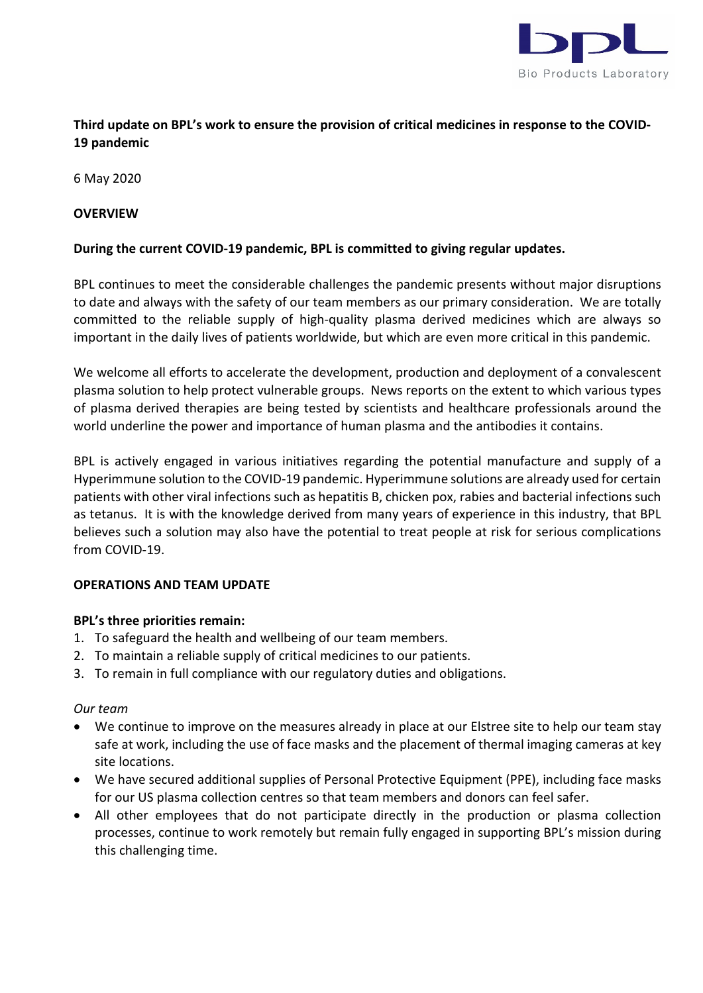

# **Third update on BPL's work to ensure the provision of critical medicines in response to the COVID-19 pandemic**

6 May 2020

## **OVERVIEW**

## **During the current COVID-19 pandemic, BPL is committed to giving regular updates.**

BPL continues to meet the considerable challenges the pandemic presents without major disruptions to date and always with the safety of our team members as our primary consideration. We are totally committed to the reliable supply of high-quality plasma derived medicines which are always so important in the daily lives of patients worldwide, but which are even more critical in this pandemic.

We welcome all efforts to accelerate the development, production and deployment of a convalescent plasma solution to help protect vulnerable groups. News reports on the extent to which various types of plasma derived therapies are being tested by scientists and healthcare professionals around the world underline the power and importance of human plasma and the antibodies it contains.

BPL is actively engaged in various initiatives regarding the potential manufacture and supply of a Hyperimmune solution to the COVID-19 pandemic. Hyperimmune solutions are already used for certain patients with other viral infections such as hepatitis B, chicken pox, rabies and bacterial infections such as tetanus. It is with the knowledge derived from many years of experience in this industry, that BPL believes such a solution may also have the potential to treat people at risk for serious complications from COVID-19.

#### **OPERATIONS AND TEAM UPDATE**

#### **BPL's three priorities remain:**

- 1. To safeguard the health and wellbeing of our team members.
- 2. To maintain a reliable supply of critical medicines to our patients.
- 3. To remain in full compliance with our regulatory duties and obligations.

#### *Our team*

- We continue to improve on the measures already in place at our Elstree site to help our team stay safe at work, including the use of face masks and the placement of thermal imaging cameras at key site locations.
- We have secured additional supplies of Personal Protective Equipment (PPE), including face masks for our US plasma collection centres so that team members and donors can feel safer.
- All other employees that do not participate directly in the production or plasma collection processes, continue to work remotely but remain fully engaged in supporting BPL's mission during this challenging time.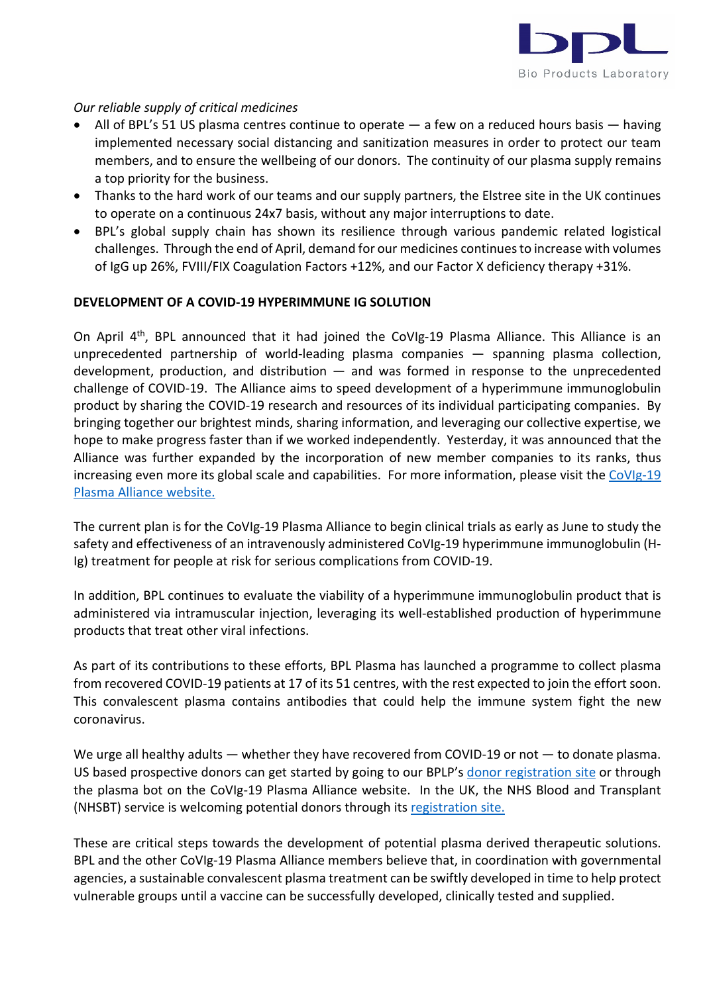

# *Our reliable supply of critical medicines*

- All of BPL's 51 US plasma centres continue to operate a few on a reduced hours basis having implemented necessary social distancing and sanitization measures in order to protect our team members, and to ensure the wellbeing of our donors. The continuity of our plasma supply remains a top priority for the business.
- Thanks to the hard work of our teams and our supply partners, the Elstree site in the UK continues to operate on a continuous 24x7 basis, without any major interruptions to date.
- BPL's global supply chain has shown its resilience through various pandemic related logistical challenges. Through the end of April, demand for our medicines continues to increase with volumes of IgG up 26%, FVIII/FIX Coagulation Factors +12%, and our Factor X deficiency therapy +31%.

## **DEVELOPMENT OF A COVID-19 HYPERIMMUNE IG SOLUTION**

On April 4<sup>th</sup>, BPL announced that it had joined the CoVIg-19 Plasma Alliance. This Alliance is an unprecedented partnership of world-leading plasma companies — spanning plasma collection, development, production, and distribution  $-$  and was formed in response to the unprecedented challenge of COVID-19. The Alliance aims to speed development of a hyperimmune immunoglobulin product by sharing the COVID-19 research and resources of its individual participating companies. By bringing together our brightest minds, sharing information, and leveraging our collective expertise, we hope to make progress faster than if we worked independently. Yesterday, it was announced that the Alliance was further expanded by the incorporation of new member companies to its ranks, thus increasing even more its global scale and capabilities. For more information, please visit the [CoVIg-19](https://www.covig-19plasmaalliance.org/en-us#recruitment)  [Plasma Alliance website.](https://www.covig-19plasmaalliance.org/en-us#recruitment)

The current plan is for the CoVIg-19 Plasma Alliance to begin clinical trials as early as June to study the safety and effectiveness of an intravenously administered CoVIg-19 hyperimmune immunoglobulin (H-Ig) treatment for people at risk for serious complications from COVID-19.

In addition, BPL continues to evaluate the viability of a hyperimmune immunoglobulin product that is administered via intramuscular injection, leveraging its well-established production of hyperimmune products that treat other viral infections.

As part of its contributions to these efforts, BPL Plasma has launched a programme to collect plasma from recovered COVID-19 patients at 17 of its 51 centres, with the rest expected to join the effort soon. This convalescent plasma contains antibodies that could help the immune system fight the new coronavirus.

We urge all healthy adults — whether they have recovered from COVID-19 or not — to donate plasma. US based prospective donors can get started by going to our BPLP's [donor registration site](https://bplplasma.com/beat-covid-19) or through the plasma bot on the CoVIg-19 Plasma Alliance website. In the UK, the NHS Blood and Transplant (NHSBT) service is welcoming potential donors through its [registration site.](https://www.nhsbt.nhs.uk/how-you-can-help/convalescent-plasma-clinical-trial/) 

These are critical steps towards the development of potential plasma derived therapeutic solutions. BPL and the other CoVIg-19 Plasma Alliance members believe that, in coordination with governmental agencies, a sustainable convalescent plasma treatment can be swiftly developed in time to help protect vulnerable groups until a vaccine can be successfully developed, clinically tested and supplied.